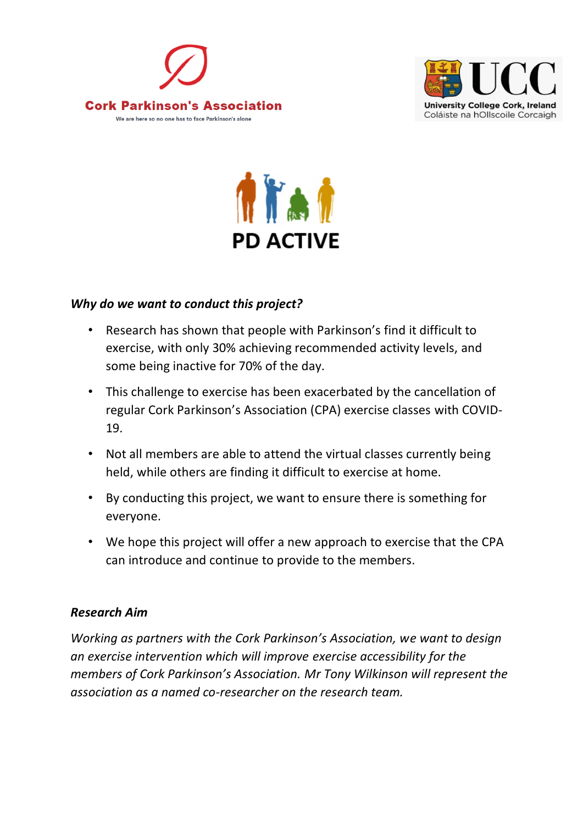





## *Why do we want to conduct this project?*

- Research has shown that people with Parkinson's find it difficult to exercise, with only 30% achieving recommended activity levels, and some being inactive for 70% of the day.
- This challenge to exercise has been exacerbated by the cancellation of regular Cork Parkinson's Association (CPA) exercise classes with COVID-19.
- Not all members are able to attend the virtual classes currently being held, while others are finding it difficult to exercise at home.
- By conducting this project, we want to ensure there is something for everyone.
- We hope this project will offer a new approach to exercise that the CPA can introduce and continue to provide to the members.

## *Research Aim*

*Working as partners with the Cork Parkinson's Association, we want to design an exercise intervention which will improve exercise accessibility for the members of Cork Parkinson's Association. Mr Tony Wilkinson will represent the association as a named co-researcher on the research team.*